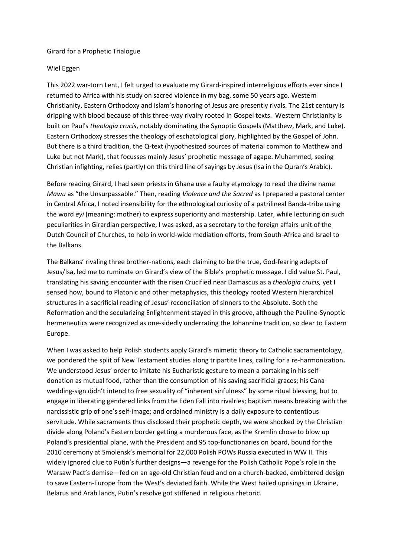## Girard for a Prophetic Trialogue

## Wiel Eggen

This 2022 war-torn Lent, I felt urged to evaluate my Girard-inspired interreligious efforts ever since I returned to Africa with his study on sacred violence in my bag, some 50 years ago. Western Christianity, Eastern Orthodoxy and Islam's honoring of Jesus are presently rivals. The 21st century is dripping with blood because of this three-way rivalry rooted in Gospel texts. Western Christianity is built on Paul's *theologia crucis*, notably dominating the Synoptic Gospels (Matthew, Mark, and Luke). Eastern Orthodoxy stresses the theology of eschatological glory, highlighted by the Gospel of John. But there is a third tradition, the Q-text (hypothesized sources of material common to Matthew and Luke but not Mark), that focusses mainly Jesus' prophetic message of agape. Muhammed, seeing Christian infighting, relies (partly) on this third line of sayings by Jesus (Isa in the Quran's Arabic).

Before reading Girard, I had seen priests in Ghana use a faulty etymology to read the divine name *Mawu* as "the Unsurpassable." Then, reading *Violence and the Sacred* as I prepared a pastoral center in Central Africa, I noted insensibility for the ethnological curiosity of a patrilineal Banda-tribe using the word *eyi* (meaning: mother) to express superiority and mastership. Later, while lecturing on such peculiarities in Girardian perspective, I was asked, as a secretary to the foreign affairs unit of the Dutch Council of Churches, to help in world-wide mediation efforts, from South-Africa and Israel to the Balkans.

The Balkans' rivaling three brother-nations, each claiming to be the true, God-fearing adepts of Jesus/Isa, led me to ruminate on Girard's view of the Bible's prophetic message. I did value St. Paul, translating his saving encounter with the risen Crucified near Damascus as a *theologia crucis,* yet I sensed how, bound to Platonic and other metaphysics, this theology rooted Western hierarchical structures in a sacrificial reading of Jesus' reconciliation of sinners to the Absolute. Both the Reformation and the secularizing Enlightenment stayed in this groove, although the Pauline-Synoptic hermeneutics were recognized as one-sidedly underrating the Johannine tradition, so dear to Eastern Europe.

When I was asked to help Polish students apply Girard's mimetic theory to Catholic sacramentology, we pondered the split of New Testament studies along tripartite lines, calling for a re-harmonization**.** We understood Jesus' order to imitate his Eucharistic gesture to mean a partaking in his selfdonation as mutual food, rather than the consumption of his saving sacrificial graces; his Cana wedding-sign didn't intend to free sexuality of "inherent sinfulness" by some ritual blessing, but to engage in liberating gendered links from the Eden Fall into rivalries; baptism means breaking with the narcissistic grip of one's self-image; and ordained ministry is a daily exposure to contentious servitude. While sacraments thus disclosed their prophetic depth, we were shocked by the Christian divide along Poland's Eastern border getting a murderous face, as the Kremlin chose to blow up Poland's presidential plane, with the President and 95 top-functionaries on board, bound for the 2010 ceremony at Smolensk's memorial for 22,000 Polish POWs Russia executed in WW II. This widely ignored clue to Putin's further designs—a revenge for the Polish Catholic Pope's role in the Warsaw Pact's demise—fed on an age-old Christian feud and on a church-backed, embittered design to save Eastern-Europe from the West's deviated faith. While the West hailed uprisings in Ukraine, Belarus and Arab lands, Putin's resolve got stiffened in religious rhetoric.